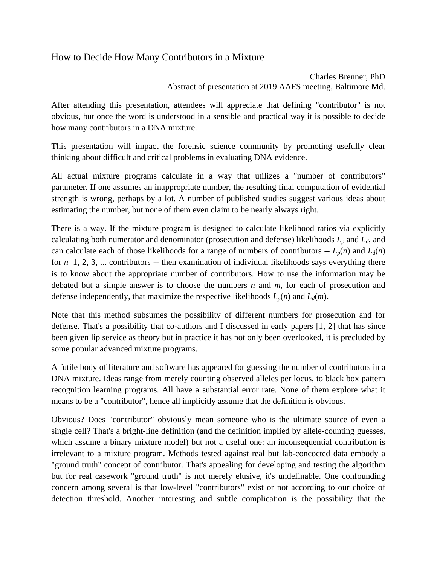## How to Decide How Many Contributors in a Mixture

Charles Brenner, PhD Abstract of presentation at 2019 AAFS meeting, Baltimore Md.

After attending this presentation, attendees will appreciate that defining "contributor" is not obvious, but once the word is understood in a sensible and practical way it is possible to decide how many contributors in a DNA mixture.

This presentation will impact the forensic science community by promoting usefully clear thinking about difficult and critical problems in evaluating DNA evidence.

All actual mixture programs calculate in a way that utilizes a "number of contributors" parameter. If one assumes an inappropriate number, the resulting final computation of evidential strength is wrong, perhaps by a lot. A number of published studies suggest various ideas about estimating the number, but none of them even claim to be nearly always right.

There is a way. If the mixture program is designed to calculate likelihood ratios via explicitly calculating both numerator and denominator (prosecution and defense) likelihoods  $L_p$  and  $L_d$ , and can calculate each of those likelihoods for a range of numbers of contributors  $-L_p(n)$  and  $L_d(n)$ for *n*=1, 2, 3, ... contributors -- then examination of individual likelihoods says everything there is to know about the appropriate number of contributors. How to use the information may be debated but a simple answer is to choose the numbers *n* and *m*, for each of prosecution and defense independently, that maximize the respective likelihoods  $L_p(n)$  and  $L_d(m)$ .

Note that this method subsumes the possibility of different numbers for prosecution and for defense. That's a possibility that co-authors and I discussed in early papers [1, 2] that has since been given lip service as theory but in practice it has not only been overlooked, it is precluded by some popular advanced mixture programs.

A futile body of literature and software has appeared for guessing the number of contributors in a DNA mixture. Ideas range from merely counting observed alleles per locus, to black box pattern recognition learning programs. All have a substantial error rate. None of them explore what it means to be a "contributor", hence all implicitly assume that the definition is obvious.

Obvious? Does "contributor" obviously mean someone who is the ultimate source of even a single cell? That's a bright-line definition (and the definition implied by allele-counting guesses, which assume a binary mixture model) but not a useful one: an inconsequential contribution is irrelevant to a mixture program. Methods tested against real but lab-concocted data embody a "ground truth" concept of contributor. That's appealing for developing and testing the algorithm but for real casework "ground truth" is not merely elusive, it's undefinable. One confounding concern among several is that low-level "contributors" exist or not according to our choice of detection threshold. Another interesting and subtle complication is the possibility that the